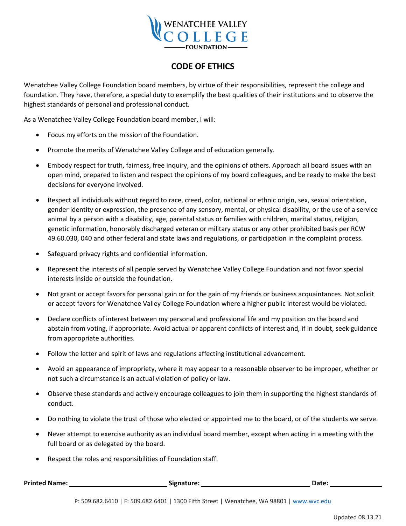

## **CODE OF ETHICS**

Wenatchee Valley College Foundation board members, by virtue of their responsibilities, represent the college and foundation. They have, therefore, a special duty to exemplify the best qualities of their institutions and to observe the highest standards of personal and professional conduct.

As a Wenatchee Valley College Foundation board member, I will:

- Focus my efforts on the mission of the Foundation.
- Promote the merits of Wenatchee Valley College and of education generally.
- Embody respect for truth, fairness, free inquiry, and the opinions of others. Approach all board issues with an open mind, prepared to listen and respect the opinions of my board colleagues, and be ready to make the best decisions for everyone involved.
- Respect all individuals without regard to race, creed, color, national or ethnic origin, sex, sexual orientation, gender identity or expression, the presence of any sensory, mental, or physical disability, or the use of a service animal by a person with a disability, age, parental status or families with children, marital status, religion, genetic information, honorably discharged veteran or military status or any other prohibited basis per RCW 49.60.030, 040 and other federal and state laws and regulations, or participation in the complaint process.
- Safeguard privacy rights and confidential information.
- Represent the interests of all people served by Wenatchee Valley College Foundation and not favor special interests inside or outside the foundation.
- Not grant or accept favors for personal gain or for the gain of my friends or business acquaintances. Not solicit or accept favors for Wenatchee Valley College Foundation where a higher public interest would be violated.
- Declare conflicts of interest between my personal and professional life and my position on the board and abstain from voting, if appropriate. Avoid actual or apparent conflicts of interest and, if in doubt, seek guidance from appropriate authorities.
- Follow the letter and spirit of laws and regulations affecting institutional advancement.
- Avoid an appearance of impropriety, where it may appear to a reasonable observer to be improper, whether or not such a circumstance is an actual violation of policy or law.
- Observe these standards and actively encourage colleagues to join them in supporting the highest standards of conduct.
- Do nothing to violate the trust of those who elected or appointed me to the board, or of the students we serve.
- Never attempt to exercise authority as an individual board member, except when acting in a meeting with the full board or as delegated by the board.
- Respect the roles and responsibilities of Foundation staff.

| <b>Printed Name:</b> | Signature: | Date <sup>.</sup> |  |
|----------------------|------------|-------------------|--|
|----------------------|------------|-------------------|--|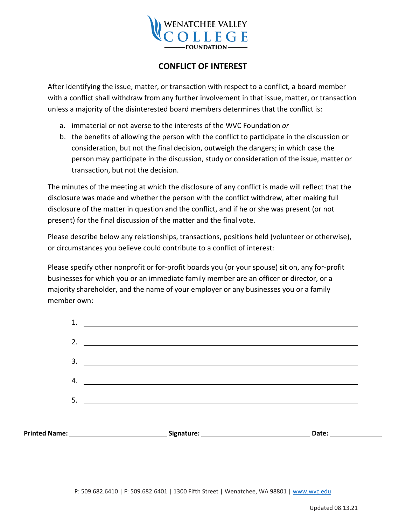

## **CONFLICT OF INTEREST**

After identifying the issue, matter, or transaction with respect to a conflict, a board member with a conflict shall withdraw from any further involvement in that issue, matter, or transaction unless a majority of the disinterested board members determines that the conflict is:

- a. immaterial or not averse to the interests of the WVC Foundation *or*
- b. the benefits of allowing the person with the conflict to participate in the discussion or consideration, but not the final decision, outweigh the dangers; in which case the person may participate in the discussion, study or consideration of the issue, matter or transaction, but not the decision.

The minutes of the meeting at which the disclosure of any conflict is made will reflect that the disclosure was made and whether the person with the conflict withdrew, after making full disclosure of the matter in question and the conflict, and if he or she was present (or not present) for the final discussion of the matter and the final vote.

Please describe below any relationships, transactions, positions held (volunteer or otherwise), or circumstances you believe could contribute to a conflict of interest:

Please specify other nonprofit or for-profit boards you (or your spouse) sit on, any for-profit businesses for which you or an immediate family member are an officer or director, or a majority shareholder, and the name of your employer or any businesses you or a family member own:

| 1. | <u> 1989 - Andrea State Barbara, amerikan personal di sebagai personal di sebagai personal di sebagai personal d</u>                                                                                                                                                                                                   |            |
|----|------------------------------------------------------------------------------------------------------------------------------------------------------------------------------------------------------------------------------------------------------------------------------------------------------------------------|------------|
|    | 2. $\qquad \qquad$                                                                                                                                                                                                                                                                                                     |            |
|    |                                                                                                                                                                                                                                                                                                                        |            |
| 4. |                                                                                                                                                                                                                                                                                                                        |            |
|    | $5.$ $\frac{1}{2}$ $\frac{1}{2}$ $\frac{1}{2}$ $\frac{1}{2}$ $\frac{1}{2}$ $\frac{1}{2}$ $\frac{1}{2}$ $\frac{1}{2}$ $\frac{1}{2}$ $\frac{1}{2}$ $\frac{1}{2}$ $\frac{1}{2}$ $\frac{1}{2}$ $\frac{1}{2}$ $\frac{1}{2}$ $\frac{1}{2}$ $\frac{1}{2}$ $\frac{1}{2}$ $\frac{1}{2}$ $\frac{1}{2}$ $\frac{1}{2}$ $\frac{1}{$ |            |
|    |                                                                                                                                                                                                                                                                                                                        |            |
|    | Printed Name: <u>_______________________________</u>                                                                                                                                                                                                                                                                   | Date: 1988 |